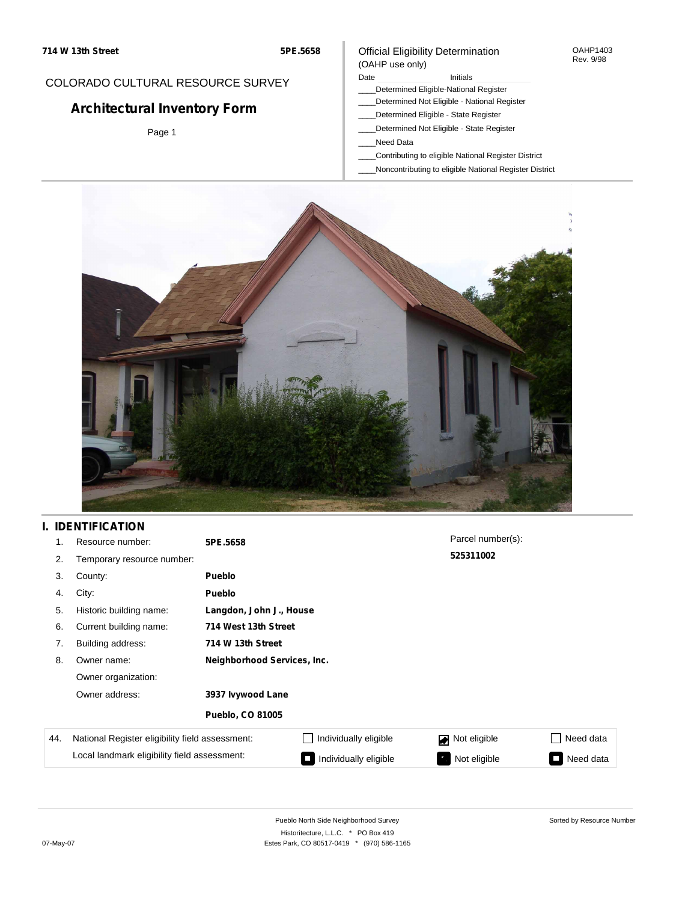## COLORADO CULTURAL RESOURCE SURVEY

# **Architectural Inventory Form**

Page 1

### Official Eligibility Determination (OAHP use only)

#### Date **Initials** Initials

- \_\_\_\_Determined Eligible-National Register
- \_\_\_\_Determined Not Eligible National Register
- \_\_\_\_Determined Eligible State Register
- \_\_\_\_Determined Not Eligible State Register
- \_\_\_\_Need Data
- \_\_\_\_Contributing to eligible National Register District
- \_\_\_\_Noncontributing to eligible National Register District



## **I. IDENTIFICATION**

| 1.  | Resource number:                                | 5PE.5658                    |                       | Parcel number(s): |                 |  |  |  |
|-----|-------------------------------------------------|-----------------------------|-----------------------|-------------------|-----------------|--|--|--|
| 2.  | Temporary resource number:                      |                             |                       | 525311002         |                 |  |  |  |
| 3.  | County:                                         | Pueblo                      |                       |                   |                 |  |  |  |
| 4.  | City:                                           | Pueblo                      |                       |                   |                 |  |  |  |
| 5.  | Historic building name:                         | Langdon, John J., House     |                       |                   |                 |  |  |  |
| 6.  | Current building name:                          |                             | 714 West 13th Street  |                   |                 |  |  |  |
| 7.  | Building address:                               | 714 W 13th Street           |                       |                   |                 |  |  |  |
| 8.  | Owner name:                                     | Neighborhood Services, Inc. |                       |                   |                 |  |  |  |
|     | Owner organization:                             |                             |                       |                   |                 |  |  |  |
|     | Owner address:                                  | 3937 lvywood Lane           |                       |                   |                 |  |  |  |
|     |                                                 | <b>Pueblo, CO 81005</b>     |                       |                   |                 |  |  |  |
| 44. | National Register eligibility field assessment: |                             | Individually eligible | Not eligible      | □ Need data     |  |  |  |
|     | Local landmark eligibility field assessment:    |                             | Individually eligible | Not eligible      | Need data<br>I. |  |  |  |

OAHP1403 Rev. 9/98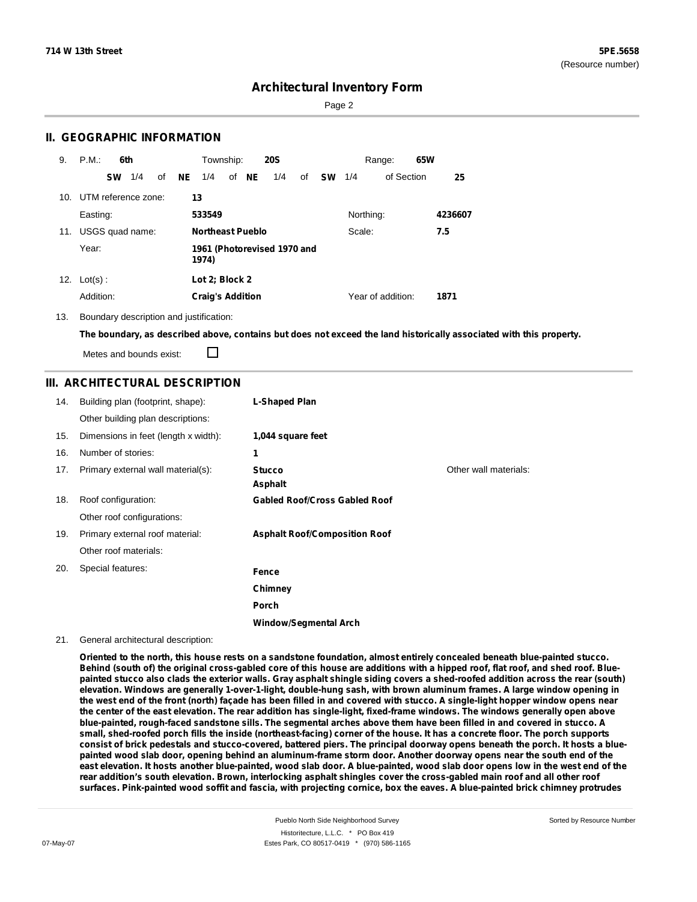Page 2

### **II. GEOGRAPHIC INFORMATION**

| 9.  | P.M.                    | 6th       |     |    |    | Township:               |       | <b>20S</b>                  |    |               |           | Range:            | 65W |         |
|-----|-------------------------|-----------|-----|----|----|-------------------------|-------|-----------------------------|----|---------------|-----------|-------------------|-----|---------|
|     |                         | <b>SW</b> | 1/4 | οf | NE | 1/4                     | of NE | 1/4                         | of | <b>SW</b> 1/4 |           | of Section        |     | 25      |
|     | 10. UTM reference zone: |           |     |    |    | 13                      |       |                             |    |               |           |                   |     |         |
|     | Easting:                |           |     |    |    | 533549                  |       |                             |    |               | Northing: |                   |     | 4236607 |
| 11. | USGS quad name:         |           |     |    |    | <b>Northeast Pueblo</b> |       |                             |    |               | Scale:    |                   |     | 7.5     |
|     | Year:                   |           |     |    |    | 1974)                   |       | 1961 (Photorevised 1970 and |    |               |           |                   |     |         |
| 12. | $Lot(s)$ :              |           |     |    |    | Lot 2; Block 2          |       |                             |    |               |           |                   |     |         |
|     | Addition:               |           |     |    |    | <b>Craig's Addition</b> |       |                             |    |               |           | Year of addition: |     | 1871    |

13. Boundary description and justification:

The boundary, as described above, contains but does not exceed the land historically associated with this property.

П Metes and bounds exist:

### **III. ARCHITECTURAL DESCRIPTION**

| 14. | Building plan (footprint, shape):    | L-Shaped Plan                        |                       |
|-----|--------------------------------------|--------------------------------------|-----------------------|
|     | Other building plan descriptions:    |                                      |                       |
| 15. | Dimensions in feet (length x width): | 1,044 square feet                    |                       |
| 16. | Number of stories:                   | 1                                    |                       |
| 17. | Primary external wall material(s):   | <b>Stucco</b><br>Asphalt             | Other wall materials: |
| 18. | Roof configuration:                  | <b>Gabled Roof/Cross Gabled Roof</b> |                       |
|     | Other roof configurations:           |                                      |                       |
| 19. | Primary external roof material:      | <b>Asphalt Roof/Composition Roof</b> |                       |
|     | Other roof materials:                |                                      |                       |
| 20. | Special features:                    | Fence                                |                       |
|     |                                      | Chimney                              |                       |
|     |                                      | <b>Porch</b>                         |                       |
|     |                                      | <b>Window/Segmental Arch</b>         |                       |

#### 21. General architectural description:

Oriented to the north, this house rests on a sandstone foundation, almost entirely concealed beneath blue-painted stucco. Behind (south of) the original cross-gabled core of this house are additions with a hipped roof, flat roof, and shed roof. Bluepainted stucco also clads the exterior walls. Gray asphalt shingle siding covers a shed-roofed addition across the rear (south) elevation. Windows are generally 1-over-1-light, double-hung sash, with brown aluminum frames. A large window opening in the west end of the front (north) façade has been filled in and covered with stucco. A single-light hopper window opens near the center of the east elevation. The rear addition has single-light, fixed-frame windows. The windows generally open above blue-painted, rough-faced sandstone sills. The segmental arches above them have been filled in and covered in stucco. A small, shed-roofed porch fills the inside (northeast-facing) corner of the house. It has a concrete floor. The porch supports consist of brick pedestals and stucco-covered, battered piers. The principal doorway opens beneath the porch. It hosts a bluepainted wood slab door, opening behind an aluminum-frame storm door. Another doorway opens near the south end of the east elevation. It hosts another blue-painted, wood slab door. A blue-painted, wood slab door opens low in the west end of the rear addition's south elevation. Brown, interlocking asphalt shingles cover the cross-gabled main roof and all other roof surfaces. Pink-painted wood soffit and fascia, with projecting cornice, box the eaves. A blue-painted brick chimney protrudes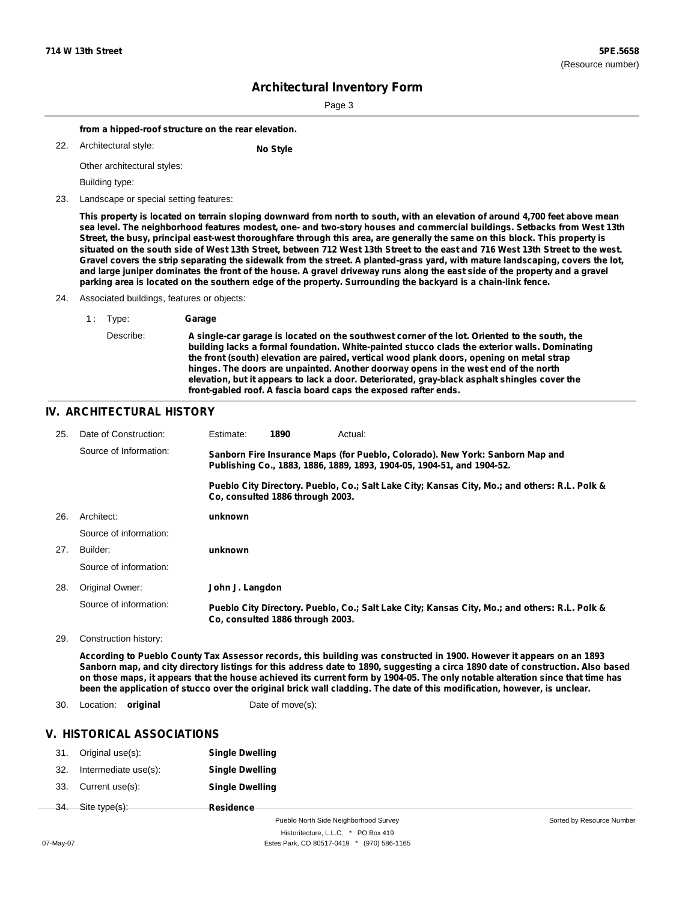Sorted by Resource Number

## **Architectural Inventory Form**

Page 3

**from a hipped-roof structure on the rear elevation.**

| 22. | Architectural style: |  |
|-----|----------------------|--|

**No** Style

Other architectural styles:

Building type:

23. Landscape or special setting features:

This property is located on terrain sloping downward from north to south, with an elevation of around 4,700 feet above mean sea level. The neighborhood features modest, one- and two-story houses and commercial buildings. Setbacks from West 13th Street, the busy, principal east-west thoroughfare through this area, are generally the same on this block. This property is situated on the south side of West 13th Street, between 712 West 13th Street to the east and 716 West 13th Street to the west. Gravel covers the strip separating the sidewalk from the street. A planted-grass yard, with mature landscaping, covers the lot, and large juniper dominates the front of the house. A gravel driveway runs along the east side of the property and a gravel parking area is located on the southern edge of the property. Surrounding the backyard is a chain-link fence.

#### 24. Associated buildings, features or objects:

| 1 Type:   | Garage                                                                                                                                                                                                                                                                                                                                                                                                                                                                                                                                                 |
|-----------|--------------------------------------------------------------------------------------------------------------------------------------------------------------------------------------------------------------------------------------------------------------------------------------------------------------------------------------------------------------------------------------------------------------------------------------------------------------------------------------------------------------------------------------------------------|
| Describe: | A single-car garage is located on the southwest corner of the lot. Oriented to the south, the<br>building lacks a formal foundation. White-painted stucco clads the exterior walls. Dominating<br>the front (south) elevation are paired, vertical wood plank doors, opening on metal strap<br>hinges. The doors are unpainted. Another doorway opens in the west end of the north<br>elevation, but it appears to lack a door. Deteriorated, gray-black asphalt shingles cover the<br>front-gabled roof. A fascia board caps the exposed rafter ends. |

#### **IV. ARCHITECTURAL HISTORY**

| 25. | Date of Construction:  | Estimate:                                                                                                                                               | 1890                             | Actual:                                                                                       |  |  |
|-----|------------------------|---------------------------------------------------------------------------------------------------------------------------------------------------------|----------------------------------|-----------------------------------------------------------------------------------------------|--|--|
|     | Source of Information: | Sanborn Fire Insurance Maps (for Pueblo, Colorado). New York: Sanborn Map and<br>Publishing Co., 1883, 1886, 1889, 1893, 1904-05, 1904-51, and 1904-52. |                                  |                                                                                               |  |  |
|     |                        |                                                                                                                                                         | Co. consulted 1886 through 2003. | Pueblo City Directory. Pueblo, Co.; Salt Lake City; Kansas City, Mo.; and others: R.L. Polk & |  |  |
| 26. | Architect:             | unknown                                                                                                                                                 |                                  |                                                                                               |  |  |
|     | Source of information: |                                                                                                                                                         |                                  |                                                                                               |  |  |
| 27. | Builder:               | unknown                                                                                                                                                 |                                  |                                                                                               |  |  |
|     | Source of information: |                                                                                                                                                         |                                  |                                                                                               |  |  |
| 28. | Original Owner:        | John J. Langdon                                                                                                                                         |                                  |                                                                                               |  |  |
|     | Source of information: |                                                                                                                                                         | Co. consulted 1886 through 2003. | Pueblo City Directory. Pueblo, Co.; Salt Lake City; Kansas City, Mo.; and others: R.L. Polk & |  |  |

29. Construction history:

According to Pueblo County Tax Assessor records, this building was constructed in 1900. However it appears on an 1893 Sanborn map, and city directory listings for this address date to 1890, suggesting a circa 1890 date of construction. Also based on those maps, it appears that the house achieved its current form by 1904-05. The only notable alteration since that time has been the application of stucco over the original brick wall cladding. The date of this modification, however, is unclear.

30. Location: **original** Date of move(s):

#### **V. HISTORICAL ASSOCIATIONS**

| 31. | Original use(s):     | <b>Single Dwelling</b> |
|-----|----------------------|------------------------|
| 32. | Intermediate use(s): | <b>Single Dwelling</b> |
| 33. | Current use(s):      | <b>Single Dwelling</b> |
|     | 34. Site type(s):    | <b>Residence</b>       |

Pueblo North Side Neighborhood Survey Historitecture, L.L.C. \* PO Box 419 07-May-07 **Estes Park, CO 80517-0419** \* (970) 586-1165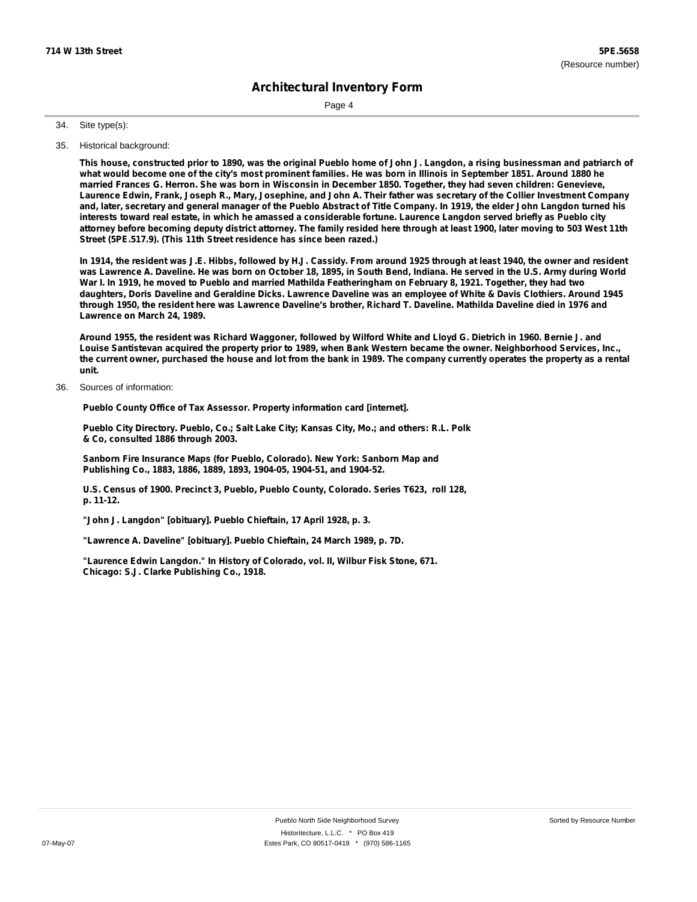Page 4

Site type(s): 34.

35. Historical background:

This house, constructed prior to 1890, was the original Pueblo home of John J. Langdon, a rising businessman and patriarch of what would become one of the city's most prominent families. He was born in Illinois in September 1851. Around 1880 he married Frances G. Herron. She was born in Wisconsin in December 1850. Together, they had seven children: Genevieve, Laurence Edwin, Frank, Joseph R., Mary, Josephine, and John A. Their father was secretary of the Collier Investment Company and, later, secretary and general manager of the Pueblo Abstract of Title Company. In 1919, the elder John Langdon turned his interests toward real estate, in which he amassed a considerable fortune. Laurence Langdon served briefly as Pueblo city attorney before becoming deputy district attorney. The family resided here through at least 1900, later moving to 503 West 11th **Street (5PE.517.9). (This 11th Street residence has since been razed.)**

In 1914, the resident was J.E. Hibbs, followed by H.J. Cassidy. From around 1925 through at least 1940, the owner and resident was Lawrence A. Daveline. He was born on October 18, 1895, in South Bend, Indiana. He served in the U.S. Army during World War I. In 1919, he moved to Pueblo and married Mathilda Featheringham on February 8, 1921. Together, they had two daughters, Doris Daveline and Geraldine Dicks. Lawrence Daveline was an employee of White & Davis Clothiers. Around 1945 through 1950, the resident here was Lawrence Daveline's brother, Richard T. Daveline. Mathilda Daveline died in 1976 and **Lawrence on March 24, 1989.**

Around 1955, the resident was Richard Waggoner, followed by Wilford White and Lloyd G. Dietrich in 1960. Bernie J. and Louise Santistevan acquired the property prior to 1989, when Bank Western became the owner. Neighborhood Services, Inc., the current owner, purchased the house and lot from the bank in 1989. The company currently operates the property as a rental **unit.**

Sources of information: 36.

**Pueblo County Office of Tax Assessor. Property information card [internet].**

**Pueblo City Directory. Pueblo, Co.; Salt Lake City; Kansas City, Mo.; and others: R.L. Polk & Co, consulted 1886 through 2003.**

**Sanborn Fire Insurance Maps (for Pueblo, Colorado). New York: Sanborn Map and Publishing Co., 1883, 1886, 1889, 1893, 1904-05, 1904-51, and 1904-52.**

**U.S. Census of 1900. Precinct 3, Pueblo, Pueblo County, Colorado. Series T623, roll 128, p. 11-12.**

**"John J. Langdon" [obituary]. Pueblo Chieftain, 17 April 1928, p. 3.**

**"Lawrence A. Daveline" [obituary]. Pueblo Chieftain, 24 March 1989, p. 7D.**

**"Laurence Edwin Langdon." In History of Colorado, vol. II, Wilbur Fisk Stone, 671. Chicago: S.J. Clarke Publishing Co., 1918.**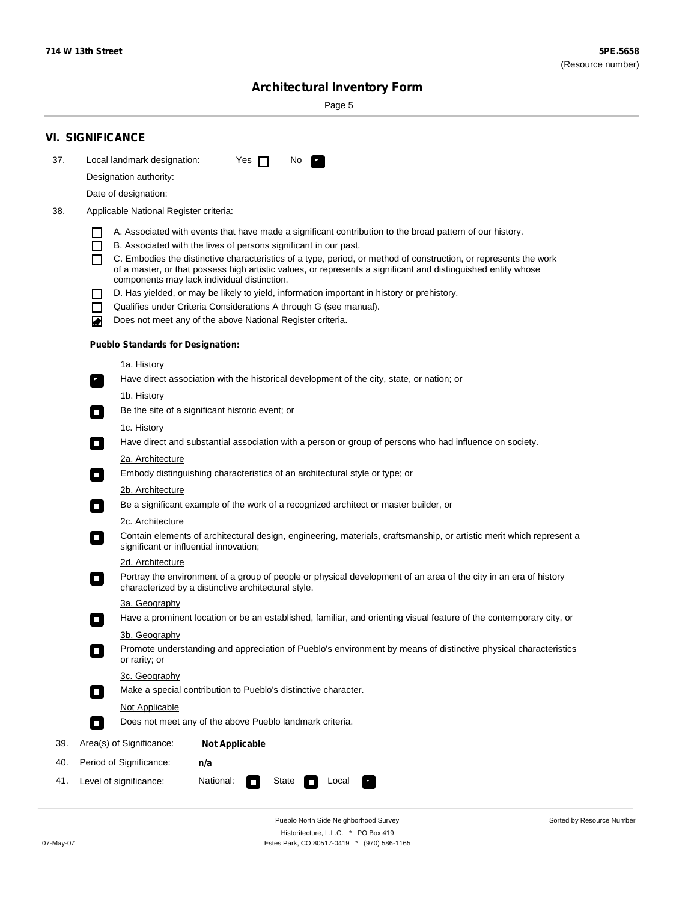$\sim$ 

Sorted by Resource Number

# **Architectural Inventory Form**

Page 5

|     | <b>VI. SIGNIFICANCE</b>    |                                          |                                                                                                                                                                              |  |  |  |  |  |  |
|-----|----------------------------|------------------------------------------|------------------------------------------------------------------------------------------------------------------------------------------------------------------------------|--|--|--|--|--|--|
| 37. |                            | Local landmark designation:              | Yes $\Box$<br>No.<br>$\mathbf{r}_1$                                                                                                                                          |  |  |  |  |  |  |
|     |                            | Designation authority:                   |                                                                                                                                                                              |  |  |  |  |  |  |
|     |                            | Date of designation:                     |                                                                                                                                                                              |  |  |  |  |  |  |
| 38. |                            | Applicable National Register criteria:   |                                                                                                                                                                              |  |  |  |  |  |  |
|     |                            |                                          |                                                                                                                                                                              |  |  |  |  |  |  |
|     | H<br>$\Box$                |                                          | A. Associated with events that have made a significant contribution to the broad pattern of our history.<br>B. Associated with the lives of persons significant in our past. |  |  |  |  |  |  |
|     | П                          |                                          | C. Embodies the distinctive characteristics of a type, period, or method of construction, or represents the work                                                             |  |  |  |  |  |  |
|     |                            |                                          | of a master, or that possess high artistic values, or represents a significant and distinguished entity whose<br>components may lack individual distinction.                 |  |  |  |  |  |  |
|     |                            |                                          | D. Has yielded, or may be likely to yield, information important in history or prehistory.                                                                                   |  |  |  |  |  |  |
|     | $\blacksquare$             |                                          | Qualifies under Criteria Considerations A through G (see manual).                                                                                                            |  |  |  |  |  |  |
|     | O                          |                                          | Does not meet any of the above National Register criteria.                                                                                                                   |  |  |  |  |  |  |
|     |                            | <b>Pueblo Standards for Designation:</b> |                                                                                                                                                                              |  |  |  |  |  |  |
|     |                            | 1a. History                              |                                                                                                                                                                              |  |  |  |  |  |  |
|     | $\overline{\phantom{a}}$ . |                                          | Have direct association with the historical development of the city, state, or nation; or                                                                                    |  |  |  |  |  |  |
|     |                            | <u>1b. History</u>                       |                                                                                                                                                                              |  |  |  |  |  |  |
|     | $\Box$                     |                                          | Be the site of a significant historic event; or                                                                                                                              |  |  |  |  |  |  |
|     |                            | 1c. History                              |                                                                                                                                                                              |  |  |  |  |  |  |
|     | $\Box$                     |                                          | Have direct and substantial association with a person or group of persons who had influence on society.                                                                      |  |  |  |  |  |  |
|     |                            | 2a. Architecture                         |                                                                                                                                                                              |  |  |  |  |  |  |
|     | $\Box$                     |                                          | Embody distinguishing characteristics of an architectural style or type; or                                                                                                  |  |  |  |  |  |  |
|     |                            | 2b. Architecture                         | Be a significant example of the work of a recognized architect or master builder, or                                                                                         |  |  |  |  |  |  |
|     | $\overline{\phantom{a}}$   | 2c. Architecture                         |                                                                                                                                                                              |  |  |  |  |  |  |
|     | $\Box$                     |                                          | Contain elements of architectural design, engineering, materials, craftsmanship, or artistic merit which represent a<br>significant or influential innovation;               |  |  |  |  |  |  |
|     |                            | 2d. Architecture                         |                                                                                                                                                                              |  |  |  |  |  |  |
|     | $\blacksquare$             |                                          | Portray the environment of a group of people or physical development of an area of the city in an era of history<br>characterized by a distinctive architectural style.      |  |  |  |  |  |  |
|     |                            | 3a. Geography                            |                                                                                                                                                                              |  |  |  |  |  |  |
|     |                            |                                          | Have a prominent location or be an established, familiar, and orienting visual feature of the contemporary city, or                                                          |  |  |  |  |  |  |
|     |                            | 3b. Geography                            |                                                                                                                                                                              |  |  |  |  |  |  |
|     |                            | or rarity; or                            | Promote understanding and appreciation of Pueblo's environment by means of distinctive physical characteristics                                                              |  |  |  |  |  |  |
|     |                            | 3c. Geography                            |                                                                                                                                                                              |  |  |  |  |  |  |
|     | $\Box$                     |                                          | Make a special contribution to Pueblo's distinctive character.                                                                                                               |  |  |  |  |  |  |
|     |                            | Not Applicable                           |                                                                                                                                                                              |  |  |  |  |  |  |
|     | $\Box$                     |                                          | Does not meet any of the above Pueblo landmark criteria.                                                                                                                     |  |  |  |  |  |  |
| 39. |                            | Area(s) of Significance:                 | <b>Not Applicable</b>                                                                                                                                                        |  |  |  |  |  |  |
| 40. |                            | Period of Significance:                  | n/a                                                                                                                                                                          |  |  |  |  |  |  |
| 41. |                            | Level of significance:                   | National:<br>State<br>Local<br>$\Box$<br>κ,                                                                                                                                  |  |  |  |  |  |  |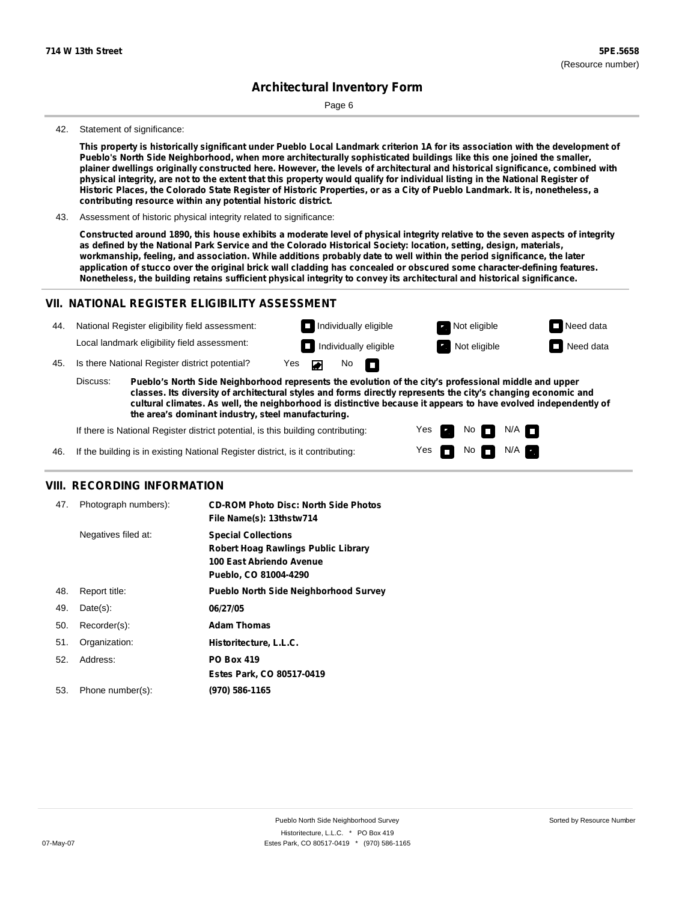Page 6

#### 42. Statement of significance:

This property is historically significant under Pueblo Local Landmark criterion 1A for its association with the development of **Pueblo's North Side Neighborhood, when more architecturally sophisticated buildings like this one joined the smaller,** plainer dwellings originally constructed here. However, the levels of architectural and historical significance, combined with physical integrity, are not to the extent that this property would qualify for individual listing in the National Register of Historic Places, the Colorado State Register of Historic Properties, or as a City of Pueblo Landmark. It is, nonetheless, a **contributing resource within any potential historic district.**

43. Assessment of historic physical integrity related to significance:

Constructed around 1890, this house exhibits a moderate level of physical integrity relative to the seven aspects of integrity as defined by the National Park Service and the Colorado Historical Society: location, setting, design, materials, workmanship, feeling, and association. While additions probably date to well within the period significance, the later application of stucco over the original brick wall cladding has concealed or obscured some character-defining features. **Nonetheless, the building retains sufficient physical integrity to convey its architectural and historical significance.**

### **VII. NATIONAL REGISTER ELIGIBILITY ASSESSMENT**



**classes. Its diversity of architectural styles and forms directly represents the city's changing economic and cultural climates. As well, the neighborhood is distinctive because it appears to have evolved independently of the area's dominant industry, steel manufacturing.**

> Yes Yes

Non<sub>d</sub> N/A No  $\blacksquare$  N/A  $\blacksquare$ 

If there is National Register district potential, is this building contributing:

If the building is in existing National Register district, is it contributing: 46.

### **VIII. RECORDING INFORMATION**

| 47. | Photograph numbers): | <b>CD-ROM Photo Disc: North Side Photos</b><br>File Name(s): 13thstw714                                                       |
|-----|----------------------|-------------------------------------------------------------------------------------------------------------------------------|
|     | Negatives filed at:  | <b>Special Collections</b><br><b>Robert Hoag Rawlings Public Library</b><br>100 East Abriendo Avenue<br>Pueblo, CO 81004-4290 |
| 48. | Report title:        | <b>Pueblo North Side Neighborhood Survey</b>                                                                                  |
| 49. | $Date(s)$ :          | 06/27/05                                                                                                                      |
| 50. | Recorder(s):         | <b>Adam Thomas</b>                                                                                                            |
| 51. | Organization:        | Historitecture, L.L.C.                                                                                                        |
| 52. | Address:             | <b>PO Box 419</b>                                                                                                             |
|     |                      | Estes Park, CO 80517-0419                                                                                                     |
| 53. | Phone number(s):     | (970) 586-1165                                                                                                                |
|     |                      |                                                                                                                               |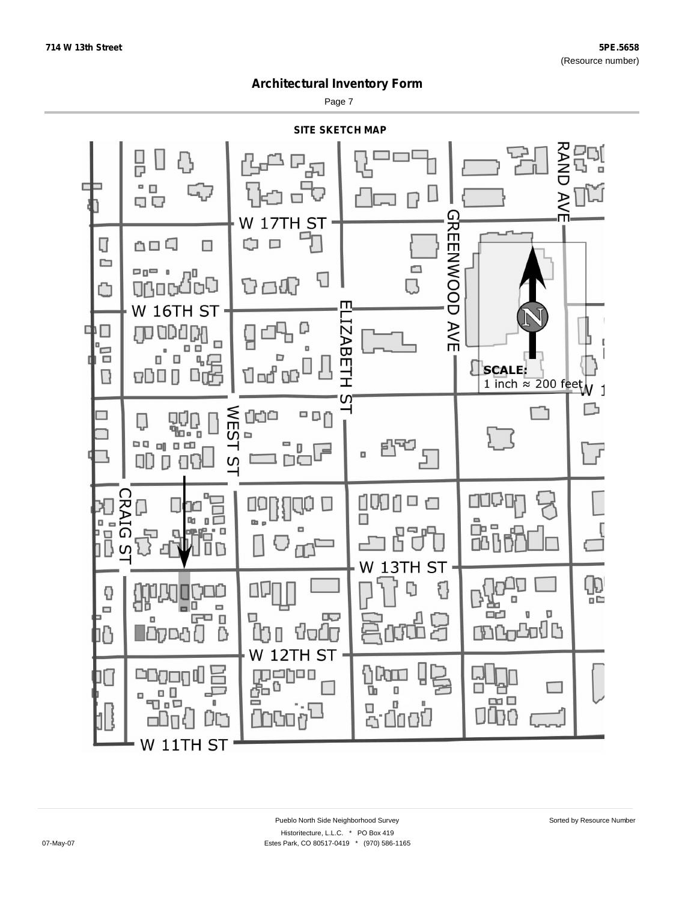Page 7